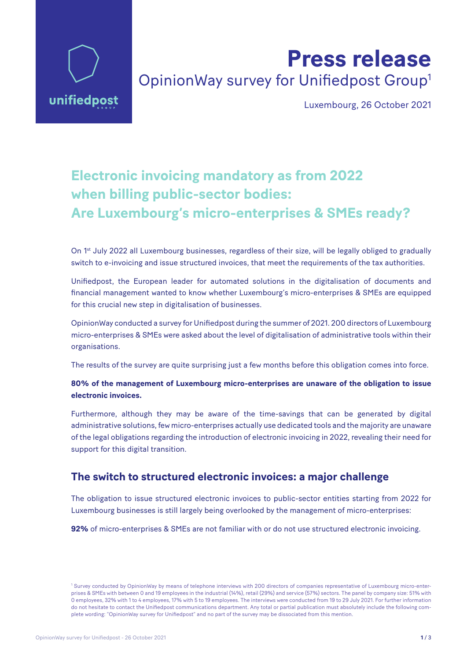

# **Press release** OpinionWay survey for Unifiedpost Group1

Luxembourg, 26 October 2021

## **Electronic invoicing mandatory as from 2022 when billing public-sector bodies: Are Luxembourg's micro-enterprises & SMEs ready?**

On 1<sup>st</sup> July 2022 all Luxembourg businesses, regardless of their size, will be legally obliged to gradually switch to e-invoicing and issue structured invoices, that meet the requirements of the tax authorities.

Unifiedpost, the European leader for automated solutions in the digitalisation of documents and financial management wanted to know whether Luxembourg's micro-enterprises & SMEs are equipped for this crucial new step in digitalisation of businesses.

OpinionWay conducted a survey for Unifiedpost during the summer of 2021. 200 directors of Luxembourg micro-enterprises & SMEs were asked about the level of digitalisation of administrative tools within their organisations.

The results of the survey are quite surprising just a few months before this obligation comes into force.

#### **80% of the management of Luxembourg micro-enterprises are unaware of the obligation to issue electronic invoices.**

Furthermore, although they may be aware of the time-savings that can be generated by digital administrative solutions, few micro-enterprises actually use dedicated tools and the majority are unaware of the legal obligations regarding the introduction of electronic invoicing in 2022, revealing their need for support for this digital transition.

#### **The switch to structured electronic invoices: a major challenge**

The obligation to issue structured electronic invoices to public-sector entities starting from 2022 for Luxembourg businesses is still largely being overlooked by the management of micro-enterprises:

**92%** of micro-enterprises & SMEs are not familiar with or do not use structured electronic invoicing.

<sup>&</sup>lt;sup>1</sup> Survey conducted by OpinionWay by means of telephone interviews with 200 directors of companies representative of Luxembourg micro-enterprises & SMEs with between 0 and 19 employees in the industrial (14%), retail (29%) and service (57%) sectors. The panel by company size: 51% with 0 employees, 32% with 1 to 4 employees, 17% with 5 to 19 employees. The interviews were conducted from 19 to 29 July 2021. For further information do not hesitate to contact the Unifiedpost communications department. Any total or partial publication must absolutely include the following complete wording: "OpinionWay survey for Unifiedpost" and no part of the survey may be dissociated from this mention.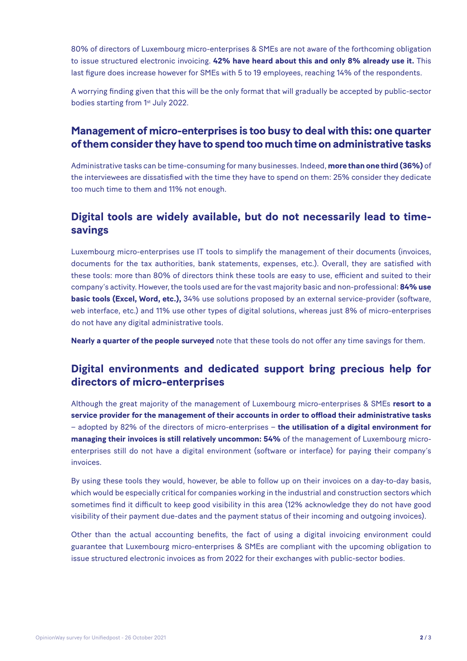80% of directors of Luxembourg micro-enterprises & SMEs are not aware of the forthcoming obligation to issue structured electronic invoicing. **42% have heard about this and only 8% already use it.** This last figure does increase however for SMEs with 5 to 19 employees, reaching 14% of the respondents.

A worrying finding given that this will be the only format that will gradually be accepted by public-sector bodies starting from 1<sup>st</sup> July 2022.

## **Management of micro-enterprises is too busy to deal with this: one quarter of them consider they have to spend too much time on administrative tasks**

Administrative tasks can be time-consuming for many businesses. Indeed, **more than one third (36%)** of the interviewees are dissatisfied with the time they have to spend on them: 25% consider they dedicate too much time to them and 11% not enough.

## **Digital tools are widely available, but do not necessarily lead to timesavings**

Luxembourg micro-enterprises use IT tools to simplify the management of their documents (invoices, documents for the tax authorities, bank statements, expenses, etc.). Overall, they are satisfied with these tools: more than 80% of directors think these tools are easy to use, efficient and suited to their company's activity. However, the tools used are for the vast majority basic and non-professional: **84% use basic tools (Excel, Word, etc.),** 34% use solutions proposed by an external service-provider (software, web interface, etc.) and 11% use other types of digital solutions, whereas just 8% of micro-enterprises do not have any digital administrative tools.

**Nearly a quarter of the people surveyed** note that these tools do not offer any time savings for them.

## **Digital environments and dedicated support bring precious help for directors of micro-enterprises**

Although the great majority of the management of Luxembourg micro-enterprises & SMEs **resort to a service provider for the management of their accounts in order to offload their administrative tasks** – adopted by 82% of the directors of micro-enterprises – **the utilisation of a digital environment for managing their invoices is still relatively uncommon: 54%** of the management of Luxembourg microenterprises still do not have a digital environment (software or interface) for paying their company's invoices.

By using these tools they would, however, be able to follow up on their invoices on a day-to-day basis, which would be especially critical for companies working in the industrial and construction sectors which sometimes find it difficult to keep good visibility in this area (12% acknowledge they do not have good visibility of their payment due-dates and the payment status of their incoming and outgoing invoices).

Other than the actual accounting benefits, the fact of using a digital invoicing environment could guarantee that Luxembourg micro-enterprises & SMEs are compliant with the upcoming obligation to issue structured electronic invoices as from 2022 for their exchanges with public-sector bodies.